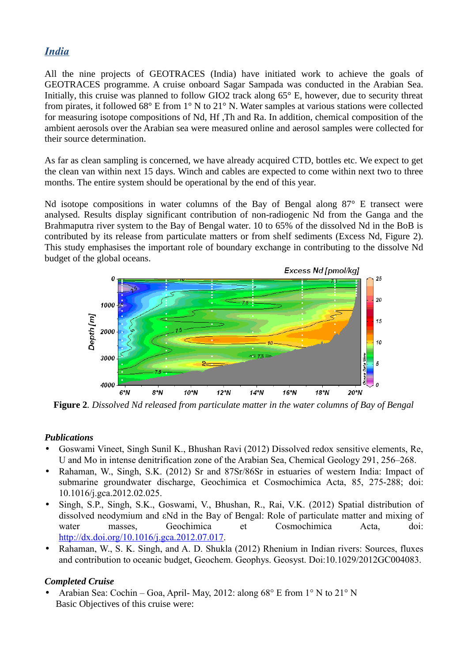## *India*

All the nine projects of GEOTRACES (India) have initiated work to achieve the goals of GEOTRACES programme. A cruise onboard Sagar Sampada was conducted in the Arabian Sea. Initially, this cruise was planned to follow GIO2 track along 65° E, however, due to security threat from pirates, it followed 68° E from 1° N to 21° N. Water samples at various stations were collected for measuring isotope compositions of Nd, Hf ,Th and Ra. In addition, chemical composition of the ambient aerosols over the Arabian sea were measured online and aerosol samples were collected for their source determination.

As far as clean sampling is concerned, we have already acquired CTD, bottles etc. We expect to get the clean van within next 15 days. Winch and cables are expected to come within next two to three months. The entire system should be operational by the end of this year.

Nd isotope compositions in water columns of the Bay of Bengal along 87° E transect were analysed. Results display significant contribution of non-radiogenic Nd from the Ganga and the Brahmaputra river system to the Bay of Bengal water. 10 to 65% of the dissolved Nd in the BoB is contributed by its release from particulate matters or from shelf sediments (Excess Nd, Figure 2). This study emphasises the important role of boundary exchange in contributing to the dissolve Nd budget of the global oceans.



**Figure 2***. Dissolved Nd released from particulate matter in the water columns of Bay of Bengal*

## *Publications*

- Goswami Vineet, Singh Sunil K., Bhushan Ravi (2012) Dissolved redox sensitive elements, Re, U and Mo in intense denitrification zone of the Arabian Sea, Chemical Geology 291, 256–268.
- Rahaman, W., Singh, S.K. (2012) Sr and 87Sr/86Sr in estuaries of western India: Impact of submarine groundwater discharge, Geochimica et Cosmochimica Acta, 85, 275-288; doi: 10.1016/j.gca.2012.02.025.
- Singh, S.P., Singh, S.K., Goswami, V., Bhushan, R., Rai, V.K. (2012) Spatial distribution of dissolved neodymium and εNd in the Bay of Bengal: Role of particulate matter and mixing of water masses, Geochimica et Cosmochimica Acta, doi: [http://dx.doi.org/10.1016/j.gca.2012.07.017.](http://dx.doi.org/10.1016/j.gca.2012.07.017)
- Rahaman, W., S. K. Singh, and A. D. Shukla (2012) Rhenium in Indian rivers: Sources, fluxes and contribution to oceanic budget, Geochem. Geophys. Geosyst. Doi:10.1029/2012GC004083.

## *Completed Cruise*

Arabian Sea: Cochin – Goa, April- May, 2012: along  $68^{\circ}$  E from 1° N to 21° N Basic Objectives of this cruise were: